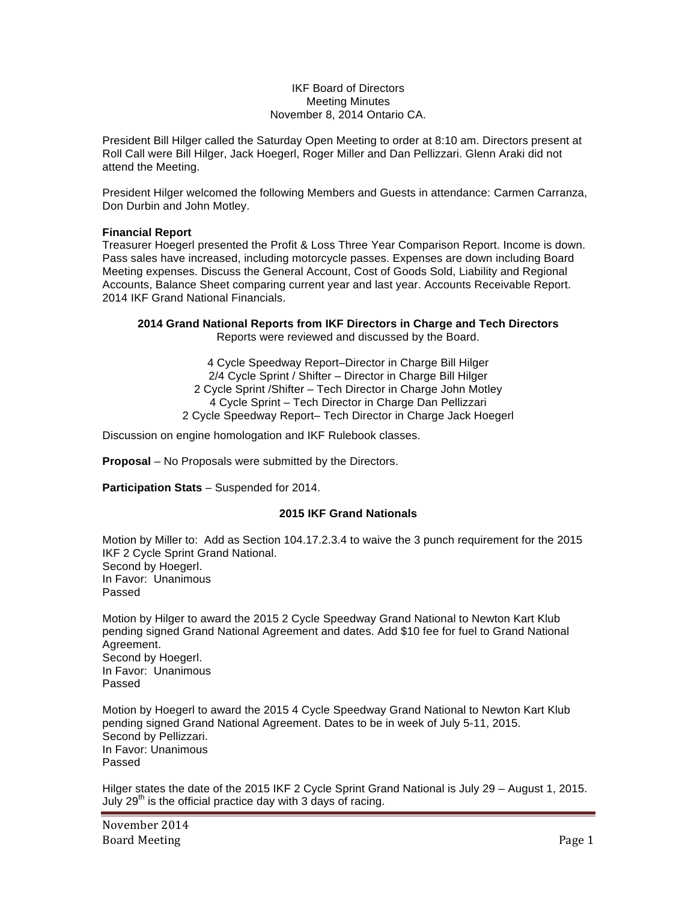### IKF Board of Directors Meeting Minutes November 8, 2014 Ontario CA.

President Bill Hilger called the Saturday Open Meeting to order at 8:10 am. Directors present at Roll Call were Bill Hilger, Jack Hoegerl, Roger Miller and Dan Pellizzari. Glenn Araki did not attend the Meeting.

President Hilger welcomed the following Members and Guests in attendance: Carmen Carranza, Don Durbin and John Motley.

## **Financial Report**

Treasurer Hoegerl presented the Profit & Loss Three Year Comparison Report. Income is down. Pass sales have increased, including motorcycle passes. Expenses are down including Board Meeting expenses. Discuss the General Account, Cost of Goods Sold, Liability and Regional Accounts, Balance Sheet comparing current year and last year. Accounts Receivable Report. 2014 IKF Grand National Financials.

#### **2014 Grand National Reports from IKF Directors in Charge and Tech Directors**  Reports were reviewed and discussed by the Board.

4 Cycle Speedway Report–Director in Charge Bill Hilger 2/4 Cycle Sprint / Shifter – Director in Charge Bill Hilger 2 Cycle Sprint /Shifter – Tech Director in Charge John Motley 4 Cycle Sprint – Tech Director in Charge Dan Pellizzari 2 Cycle Speedway Report– Tech Director in Charge Jack Hoegerl

Discussion on engine homologation and IKF Rulebook classes.

**Proposal** – No Proposals were submitted by the Directors.

**Participation Stats** – Suspended for 2014.

# **2015 IKF Grand Nationals**

Motion by Miller to: Add as Section 104.17.2.3.4 to waive the 3 punch requirement for the 2015 IKF 2 Cycle Sprint Grand National. Second by Hoegerl. In Favor: Unanimous Passed

Motion by Hilger to award the 2015 2 Cycle Speedway Grand National to Newton Kart Klub pending signed Grand National Agreement and dates. Add \$10 fee for fuel to Grand National Agreement. Second by Hoegerl. In Favor: Unanimous Passed

Motion by Hoegerl to award the 2015 4 Cycle Speedway Grand National to Newton Kart Klub pending signed Grand National Agreement. Dates to be in week of July 5-11, 2015. Second by Pellizzari. In Favor: Unanimous Passed

Hilger states the date of the 2015 IKF 2 Cycle Sprint Grand National is July 29 – August 1, 2015. July  $29<sup>th</sup>$  is the official practice day with 3 days of racing.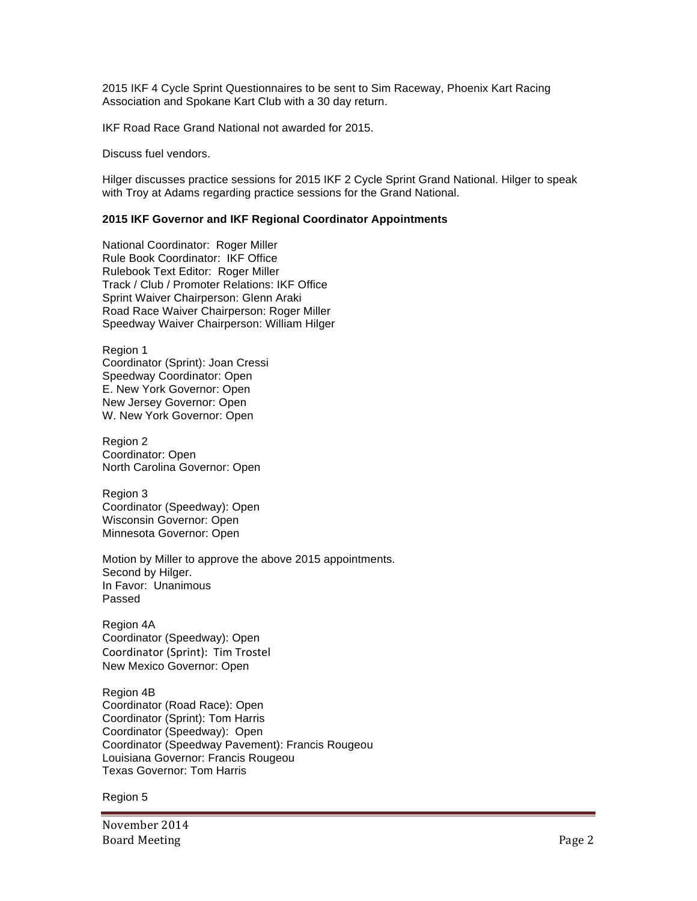2015 IKF 4 Cycle Sprint Questionnaires to be sent to Sim Raceway, Phoenix Kart Racing Association and Spokane Kart Club with a 30 day return.

IKF Road Race Grand National not awarded for 2015.

Discuss fuel vendors.

Hilger discusses practice sessions for 2015 IKF 2 Cycle Sprint Grand National. Hilger to speak with Troy at Adams regarding practice sessions for the Grand National.

## **2015 IKF Governor and IKF Regional Coordinator Appointments**

National Coordinator: Roger Miller Rule Book Coordinator: IKF Office Rulebook Text Editor: Roger Miller Track / Club / Promoter Relations: IKF Office Sprint Waiver Chairperson: Glenn Araki Road Race Waiver Chairperson: Roger Miller Speedway Waiver Chairperson: William Hilger

Region 1 Coordinator (Sprint): Joan Cressi Speedway Coordinator: Open E. New York Governor: Open New Jersey Governor: Open W. New York Governor: Open

Region 2 Coordinator: Open North Carolina Governor: Open

Region 3 Coordinator (Speedway): Open Wisconsin Governor: Open Minnesota Governor: Open

Motion by Miller to approve the above 2015 appointments. Second by Hilger. In Favor: Unanimous Passed

Region 4A Coordinator (Speedway): Open Coordinator (Sprint): Tim Trostel New Mexico Governor: Open

Region 4B Coordinator (Road Race): Open Coordinator (Sprint): Tom Harris Coordinator (Speedway): Open Coordinator (Speedway Pavement): Francis Rougeou Louisiana Governor: Francis Rougeou Texas Governor: Tom Harris

Region 5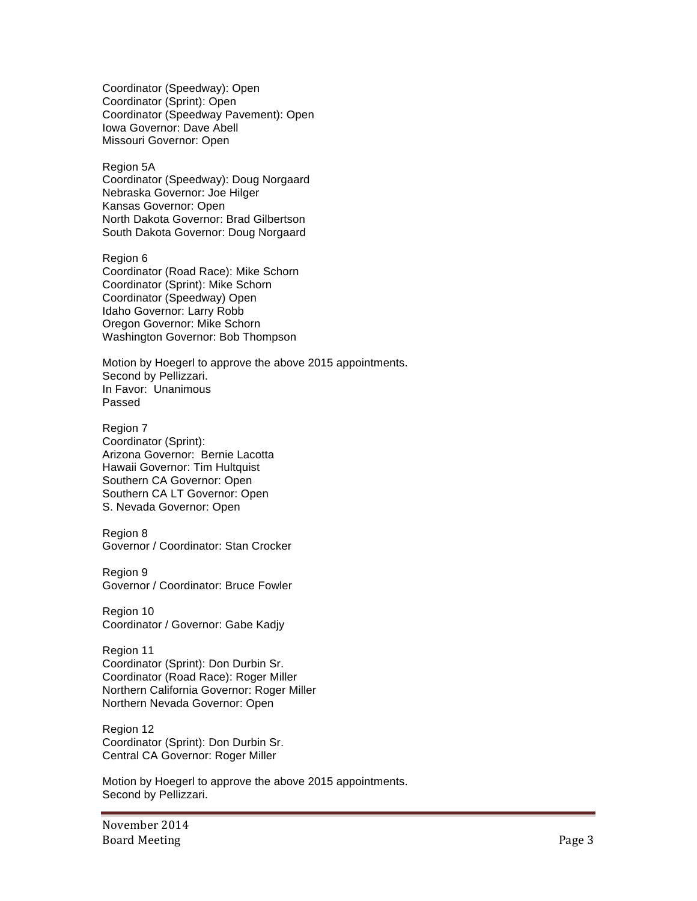Coordinator (Speedway): Open Coordinator (Sprint): Open Coordinator (Speedway Pavement): Open Iowa Governor: Dave Abell Missouri Governor: Open

Region 5A Coordinator (Speedway): Doug Norgaard Nebraska Governor: Joe Hilger Kansas Governor: Open North Dakota Governor: Brad Gilbertson South Dakota Governor: Doug Norgaard

Region 6 Coordinator (Road Race): Mike Schorn Coordinator (Sprint): Mike Schorn Coordinator (Speedway) Open Idaho Governor: Larry Robb Oregon Governor: Mike Schorn Washington Governor: Bob Thompson

Motion by Hoegerl to approve the above 2015 appointments. Second by Pellizzari. In Favor: Unanimous Passed

Region 7 Coordinator (Sprint): Arizona Governor: Bernie Lacotta Hawaii Governor: Tim Hultquist Southern CA Governor: Open Southern CA LT Governor: Open S. Nevada Governor: Open

Region 8 Governor / Coordinator: Stan Crocker

Region 9 Governor / Coordinator: Bruce Fowler

Region 10 Coordinator / Governor: Gabe Kadjy

Region 11 Coordinator (Sprint): Don Durbin Sr. Coordinator (Road Race): Roger Miller Northern California Governor: Roger Miller Northern Nevada Governor: Open

Region 12 Coordinator (Sprint): Don Durbin Sr. Central CA Governor: Roger Miller

Motion by Hoegerl to approve the above 2015 appointments. Second by Pellizzari.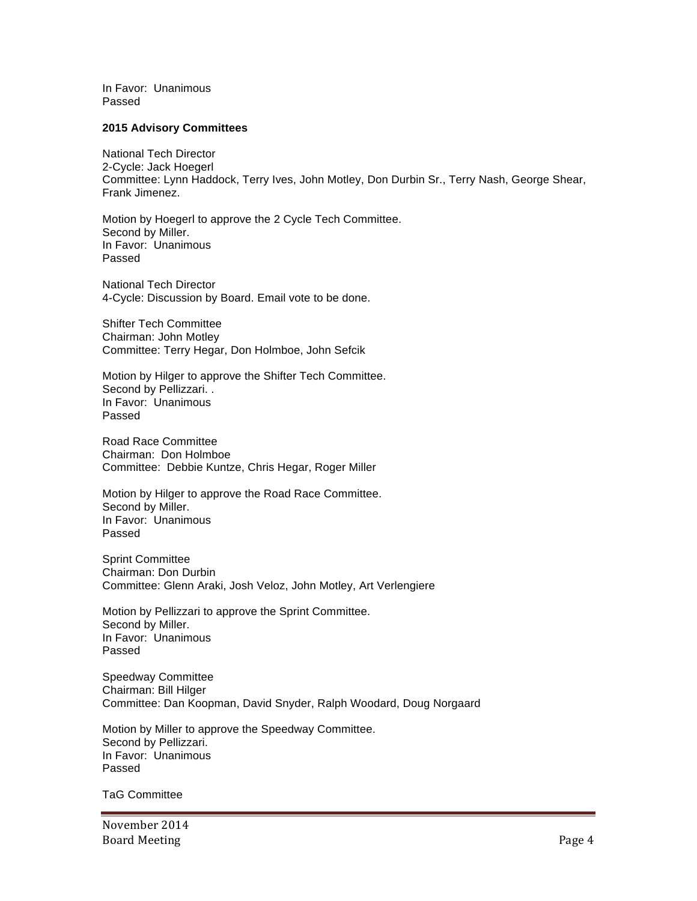In Favor: Unanimous Passed

### **2015 Advisory Committees**

National Tech Director 2-Cycle: Jack Hoegerl Committee: Lynn Haddock, Terry Ives, John Motley, Don Durbin Sr., Terry Nash, George Shear, Frank Jimenez.

Motion by Hoegerl to approve the 2 Cycle Tech Committee. Second by Miller. In Favor: Unanimous Passed

National Tech Director 4-Cycle: Discussion by Board. Email vote to be done.

Shifter Tech Committee Chairman: John Motley Committee: Terry Hegar, Don Holmboe, John Sefcik

Motion by Hilger to approve the Shifter Tech Committee. Second by Pellizzari. . In Favor: Unanimous Passed

Road Race Committee Chairman: Don Holmboe Committee: Debbie Kuntze, Chris Hegar, Roger Miller

Motion by Hilger to approve the Road Race Committee. Second by Miller. In Favor: Unanimous Passed

Sprint Committee Chairman: Don Durbin Committee: Glenn Araki, Josh Veloz, John Motley, Art Verlengiere

Motion by Pellizzari to approve the Sprint Committee. Second by Miller. In Favor: Unanimous Passed

Speedway Committee Chairman: Bill Hilger Committee: Dan Koopman, David Snyder, Ralph Woodard, Doug Norgaard

Motion by Miller to approve the Speedway Committee. Second by Pellizzari. In Favor: Unanimous Passed

TaG Committee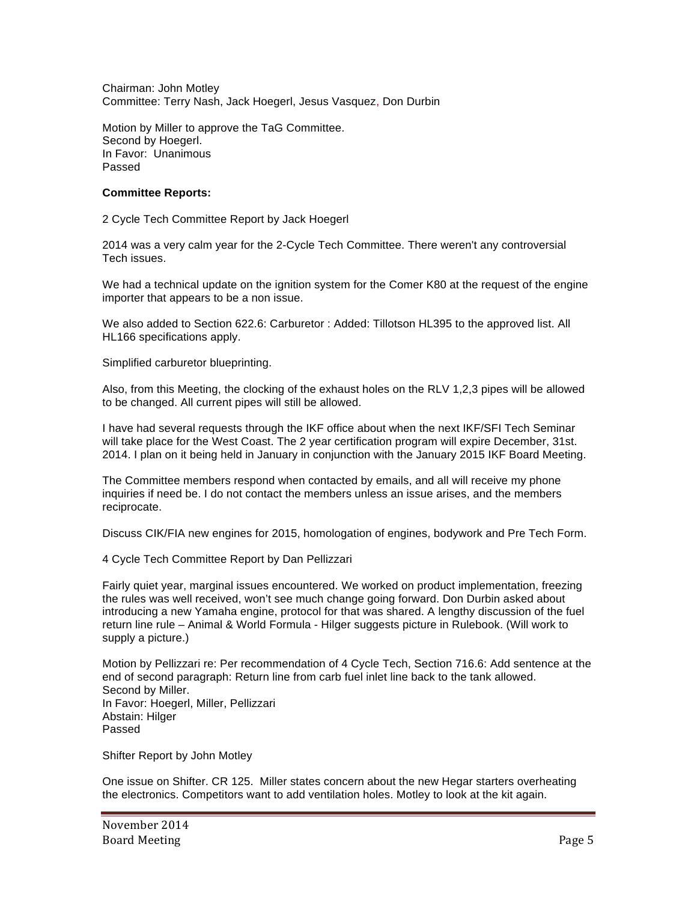Chairman: John Motley Committee: Terry Nash, Jack Hoegerl, Jesus Vasquez, Don Durbin

Motion by Miller to approve the TaG Committee. Second by Hoegerl. In Favor: Unanimous Passed

## **Committee Reports:**

2 Cycle Tech Committee Report by Jack Hoegerl

2014 was a very calm year for the 2-Cycle Tech Committee. There weren't any controversial Tech issues.

We had a technical update on the ignition system for the Comer K80 at the request of the engine importer that appears to be a non issue.

We also added to Section 622.6: Carburetor : Added: Tillotson HL395 to the approved list. All HL166 specifications apply.

Simplified carburetor blueprinting.

Also, from this Meeting, the clocking of the exhaust holes on the RLV 1,2,3 pipes will be allowed to be changed. All current pipes will still be allowed.

I have had several requests through the IKF office about when the next IKF/SFI Tech Seminar will take place for the West Coast. The 2 year certification program will expire December, 31st. 2014. I plan on it being held in January in conjunction with the January 2015 IKF Board Meeting.

The Committee members respond when contacted by emails, and all will receive my phone inquiries if need be. I do not contact the members unless an issue arises, and the members reciprocate.

Discuss CIK/FIA new engines for 2015, homologation of engines, bodywork and Pre Tech Form.

4 Cycle Tech Committee Report by Dan Pellizzari

Fairly quiet year, marginal issues encountered. We worked on product implementation, freezing the rules was well received, won't see much change going forward. Don Durbin asked about introducing a new Yamaha engine, protocol for that was shared. A lengthy discussion of the fuel return line rule – Animal & World Formula - Hilger suggests picture in Rulebook. (Will work to supply a picture.)

Motion by Pellizzari re: Per recommendation of 4 Cycle Tech, Section 716.6: Add sentence at the end of second paragraph: Return line from carb fuel inlet line back to the tank allowed. Second by Miller. In Favor: Hoegerl, Miller, Pellizzari Abstain: Hilger Passed

Shifter Report by John Motley

One issue on Shifter. CR 125. Miller states concern about the new Hegar starters overheating the electronics. Competitors want to add ventilation holes. Motley to look at the kit again.